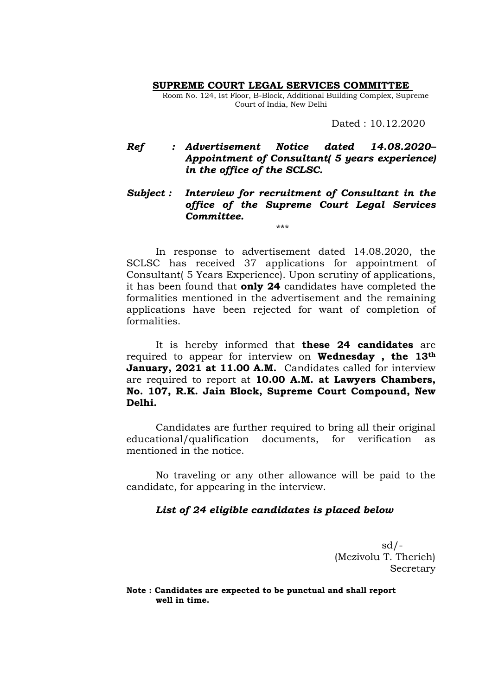**SUPREME COURT LEGAL SERVICES COMMITTEE** 

Room No. 124, Ist Floor, B-Block, Additional Building Complex, Supreme Court of India, New Delhi

Dated : 10.12.2020

## *Ref : Advertisement Notice dated 14.08.2020– Appointment of Consultant( 5 years experience) in the office of the SCLSC.*

## *Subject : Interview for recruitment of Consultant in the office of the Supreme Court Legal Services Committee.*  \*\*\*

In response to advertisement dated 14.08.2020, the SCLSC has received 37 applications for appointment of Consultant( 5 Years Experience). Upon scrutiny of applications, it has been found that **only 24** candidates have completed the formalities mentioned in the advertisement and the remaining applications have been rejected for want of completion of formalities.

It is hereby informed that **these 24 candidates** are required to appear for interview on **Wednesday , the 13th January, 2021 at 11.00 A.M.** Candidates called for interview are required to report at **10.00 A.M. at Lawyers Chambers, No. 107, R.K. Jain Block, Supreme Court Compound, New Delhi.** 

Candidates are further required to bring all their original educational/qualification documents, for verification as mentioned in the notice.

No traveling or any other allowance will be paid to the candidate, for appearing in the interview.

## *List of 24 eligible candidates is placed below*

 $sd/-$ (Mezivolu T. Therieh) Secretary

**Note : Candidates are expected to be punctual and shall report well in time.**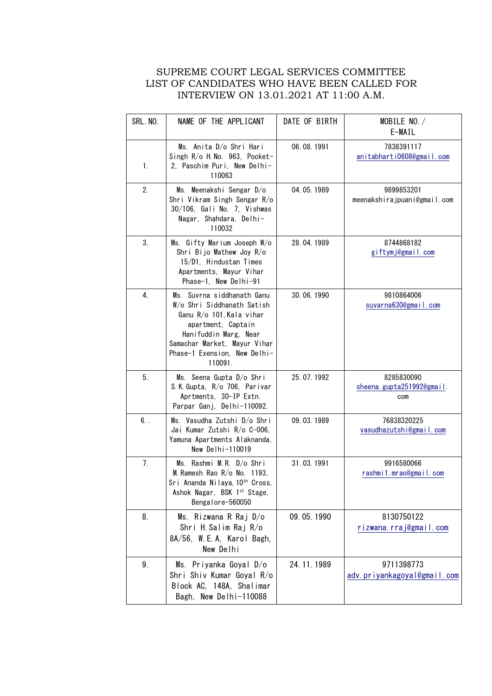## SUPREME COURT LEGAL SERVICES COMMITTEE LIST OF CANDIDATES WHO HAVE BEEN CALLED FOR INTERVIEW ON 13.01.2021 AT 11:00 A.M.

| SRL. NO. | NAME OF THE APPLICANT                                                                                                                                                                                          | DATE OF BIRTH | MOBILE NO./<br>E-MAIL                           |
|----------|----------------------------------------------------------------------------------------------------------------------------------------------------------------------------------------------------------------|---------------|-------------------------------------------------|
| 1.       | Ms. Anita D/o Shri Hari<br>Singh R/o H. No. 963, Pocket-<br>2. Paschim Puri, New Delhi-<br>110063                                                                                                              | 06.08.1991    | 7838391117<br>anitabharti0608@gmail.com         |
| 2.       | Ms. Meenakshi Sengar D/o<br>Shri Vikram Singh Sengar R/o<br>30/106, Gali No. 7, Vishwas<br>Nagar, Shahdara, Delhi-<br>110032                                                                                   | 04.05.1989    | 9899853201<br>meenakshirajpuani@gmail.com       |
| 3.       | Ms. Gifty Marium Joseph W/o<br>Shri Bijo Mathew Joy R/o<br>15/D1, Hindustan Times<br>Apartments, Mayur Vihar<br>Phase-1, New Delhi-91                                                                          | 28.04.1989    | 8744868182<br>giftymj@gmail.com                 |
| 4.       | Ms. Suvrna siddhanath Ganu<br>W/o Shri Siddhanath Satish<br>Ganu R/o 101, Kala vihar<br>apartment, Captain<br>Hanifuddin Marg, Near<br>Samachar Market, Mayur Vihar<br>Phase-1 Exension, New Delhi-<br>110091. | 30.06.1990    | 9810864006<br>suvarna630@gmail.com              |
| 5.       | Ms. Seena Gupta D/o Shri<br>S.K. Gupta, R/o 706, Parivar<br>Aprtments, 30-IP Extn.<br>Parpar Ganj, Delhi-110092.                                                                                               | 25.07.1992    | 8285830090<br>sheena. gupta251992@gmail.<br>com |
| $6.$ .   | Ms. Vasudha Zutshi D/o Shri<br>Jai Kumar Zutshi R/o C-006,<br>Yamuna Apartments Alaknanda,<br>New Delhi-110019                                                                                                 | 09.03.1989    | 76838320225<br>vasudhazutshi@gmail.com          |
| 7.       | Ms. Rashmi M.R. D/o Shri<br>M. Ramesh Rao R/o No. 1193,<br>Sri Ananda Nilaya, 10 <sup>th</sup> Cross,<br>Ashok Nagar, BSK 1st Stage,<br>Bengalore-560050                                                       | 31.03.1991    | 9916580066<br>rashmi1.mrao@gmail.com            |
| 8.       | Ms. Rizwana R Raj D/o<br>Shri H. Salim Raj R/o<br>8A/56, W.E.A, Karol Bagh,<br>New Delhi                                                                                                                       | 09.05.1990    | 8130750122<br><u>rizwana rraj@gmail.com</u>     |
| 9.       | Ms. Priyanka Goyal D/o<br>Shri Shiv Kumar Goyal R/o<br>Block AC, 148A, Shalimar<br>Bagh, New Delhi-110088                                                                                                      | 24.11.1989    | 9711398773<br>adv.priyankagoyal@gmail.com       |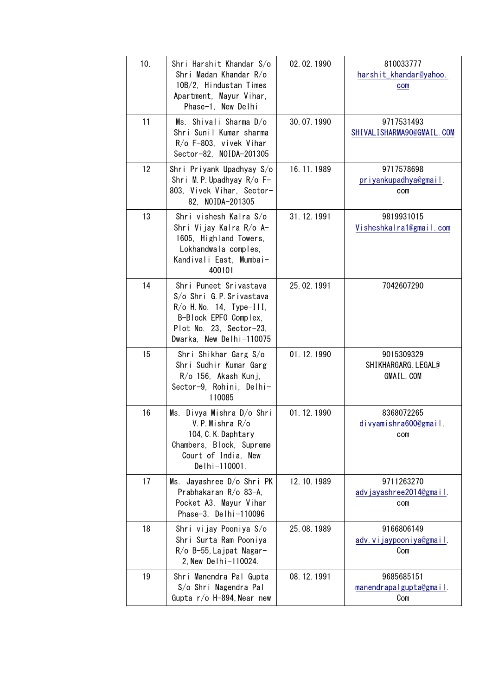| 10. | Shri Harshit Khandar S/o<br>Shri Madan Khandar R/o<br>10B/2, Hindustan Times<br>Apartment, Mayur Vihar,<br>Phase-1, New Delhi                                     | 02.02.1990 | 810033777<br>harshit_khandar@yahoo.<br>com             |
|-----|-------------------------------------------------------------------------------------------------------------------------------------------------------------------|------------|--------------------------------------------------------|
| 11  | Ms. Shivali Sharma D/o<br>Shri Sunil Kumar sharma<br>R/o F-803, vivek Vihar<br>Sector-82, NOIDA-201305                                                            | 30.07.1990 | 9717531493<br>SHIVALISHARMA90@GMAIL.COM                |
| 12  | Shri Priyank Upadhyay S/o<br>Shri M.P. Upadhyay $R/o F-$<br>803, Vivek Vihar, Sector-<br>82, NOIDA-201305                                                         | 16.11.1989 | 9717578698<br>priyankupadhya@gmail.<br>com             |
| 13  | Shri vishesh Kalra S/o<br>Shri Vijay Kalra R/o A-<br>1605, Highland Towers,<br>Lokhandwala comples,<br>Kandivali East. Mumbai-<br>400101                          | 31.12.1991 | 9819931015<br>Visheshkalra1@gmail.com                  |
| 14  | Shri Puneet Srivastava<br>S/o Shri G.P. Srivastava<br>$R$ /o H. No. 14, Type-III,<br>B-Block EPFO Complex,<br>Plot No. 23, Sector-23,<br>Dwarka, New Delhi-110075 | 25.02.1991 | 7042607290                                             |
| 15  | Shri Shikhar Garg S/o<br>Shri Sudhir Kumar Garg<br>$R$ /o 156, Akash Kunj,<br>Sector-9, Rohini, Delhi-<br>110085                                                  | 01.12.1990 | 9015309329<br>SHIKHARGARG. LEGAL@<br><b>GMAIL. COM</b> |
| 16  | Ms. Divya Mishra D/o Shri<br>V.P.Mishra R/o<br>104, C. K. Daphtary<br>Chambers, Block, Supreme<br>Court of India, New<br>Delhi-110001.                            | 01.12.1990 | 8368072265<br>divyamishra600@gmail.<br>com             |
| 17  | Ms. Jayashree D/o Shri PK<br>Prabhakaran R/o 83-A,<br>Pocket A3, Mayur Vihar<br>Phase-3, Delhi-110096                                                             | 12.10.1989 | 9711263270<br>advjayashree2014@gmail.<br>com           |
| 18  | Shri vijay Pooniya S/o<br>Shri Surta Ram Pooniya<br>$R$ /o B-55, Lajpat Nagar-<br>2, New Delhi-110024.                                                            | 25.08.1989 | 9166806149<br>adv. vijaypooniya@gmail.<br>Com          |
| 19  | Shri Manendra Pal Gupta<br>S/o Shri Nagendra Pal<br>Gupta r/o H-894, Near new                                                                                     | 08.12.1991 | 9685685151<br>manendrapalgupta@gmail.<br>Com           |